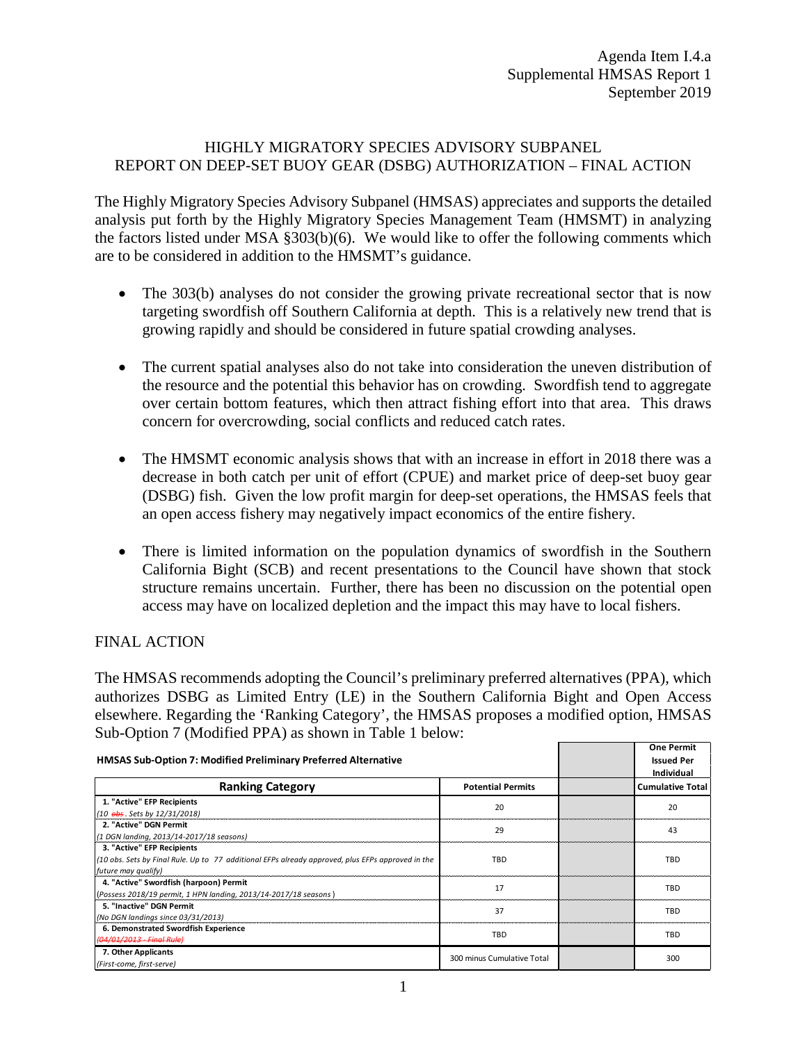## HIGHLY MIGRATORY SPECIES ADVISORY SUBPANEL REPORT ON DEEP-SET BUOY GEAR (DSBG) AUTHORIZATION – FINAL ACTION

The Highly Migratory Species Advisory Subpanel (HMSAS) appreciates and supports the detailed analysis put forth by the Highly Migratory Species Management Team (HMSMT) in analyzing the factors listed under MSA §303(b)(6). We would like to offer the following comments which are to be considered in addition to the HMSMT's guidance.

- The 303(b) analyses do not consider the growing private recreational sector that is now targeting swordfish off Southern California at depth. This is a relatively new trend that is growing rapidly and should be considered in future spatial crowding analyses.
- The current spatial analyses also do not take into consideration the uneven distribution of the resource and the potential this behavior has on crowding. Swordfish tend to aggregate over certain bottom features, which then attract fishing effort into that area. This draws concern for overcrowding, social conflicts and reduced catch rates.
- The HMSMT economic analysis shows that with an increase in effort in 2018 there was a decrease in both catch per unit of effort (CPUE) and market price of deep-set buoy gear (DSBG) fish. Given the low profit margin for deep-set operations, the HMSAS feels that an open access fishery may negatively impact economics of the entire fishery.
- There is limited information on the population dynamics of swordfish in the Southern California Bight (SCB) and recent presentations to the Council have shown that stock structure remains uncertain. Further, there has been no discussion on the potential open access may have on localized depletion and the impact this may have to local fishers.

## FINAL ACTION

The HMSAS recommends adopting the Council's preliminary preferred alternatives (PPA), which authorizes DSBG as Limited Entry (LE) in the Southern California Bight and Open Access elsewhere. Regarding the 'Ranking Category', the HMSAS proposes a modified option, HMSAS Sub-Option 7 (Modified PPA) as shown in Table 1 below:

| <b>HMSAS Sub-Option 7: Modified Preliminary Preferred Alternative</b>                             |                            | <b>One Permit</b><br><b>Issued Per</b> |
|---------------------------------------------------------------------------------------------------|----------------------------|----------------------------------------|
|                                                                                                   |                            | Individual                             |
| <b>Ranking Category</b>                                                                           | <b>Potential Permits</b>   | <b>Cumulative Total</b>                |
| 1. "Active" EFP Recipients                                                                        | 20                         | 20                                     |
| (10 obs. Sets by 12/31/2018)                                                                      |                            |                                        |
| 2. "Active" DGN Permit                                                                            | 29                         | 43                                     |
| (1 DGN landing, 2013/14-2017/18 seasons)                                                          |                            |                                        |
| 3. "Active" EFP Recipients                                                                        | TBD                        |                                        |
| (10 obs. Sets by Final Rule. Up to 77 additional EFPs already approved, plus EFPs approved in the |                            | TBD                                    |
| future may qualify)                                                                               |                            |                                        |
| 4. "Active" Swordfish (harpoon) Permit                                                            | 17                         | TBD                                    |
| (Possess 2018/19 permit, 1 HPN landing, 2013/14-2017/18 seasons)                                  |                            |                                        |
| 5. "Inactive" DGN Permit                                                                          | 37                         | TBD                                    |
| (No DGN landings since 03/31/2013)                                                                |                            |                                        |
| 6. Demonstrated Swordfish Experience                                                              | TBD                        | TBD                                    |
| (04/01/2013 - Final Rule)                                                                         |                            |                                        |
| 7. Other Applicants                                                                               | 300 minus Cumulative Total |                                        |
| (First-come, first-serve)                                                                         |                            | 300                                    |